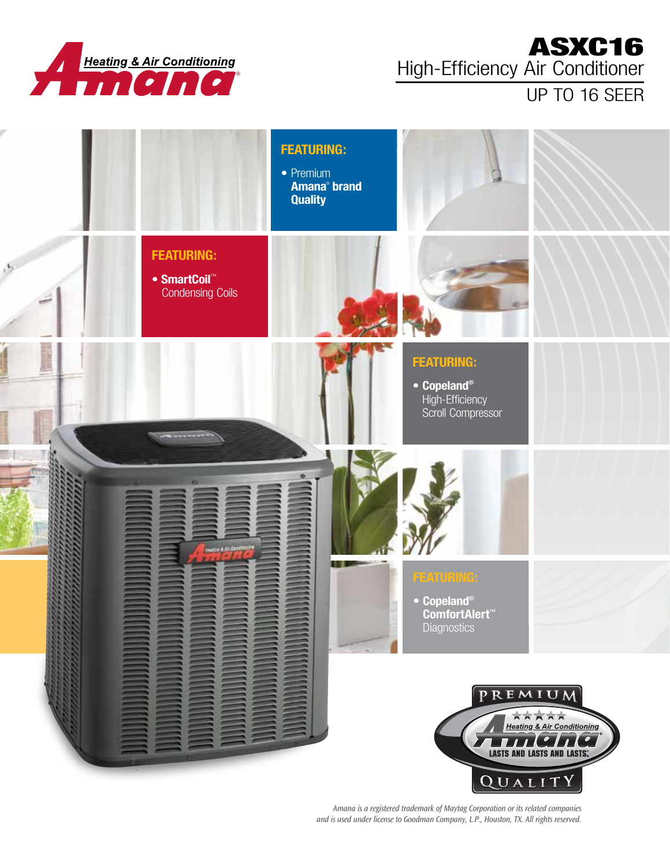

## ASXC16 High-Efficiency Air Conditioner

# UP TO 16 SEER



*Amana is a registered trademark of Maytag Corporation or its related companies and is used under license to Goodman Company, L.P., Houston, TX. All rights reserved.*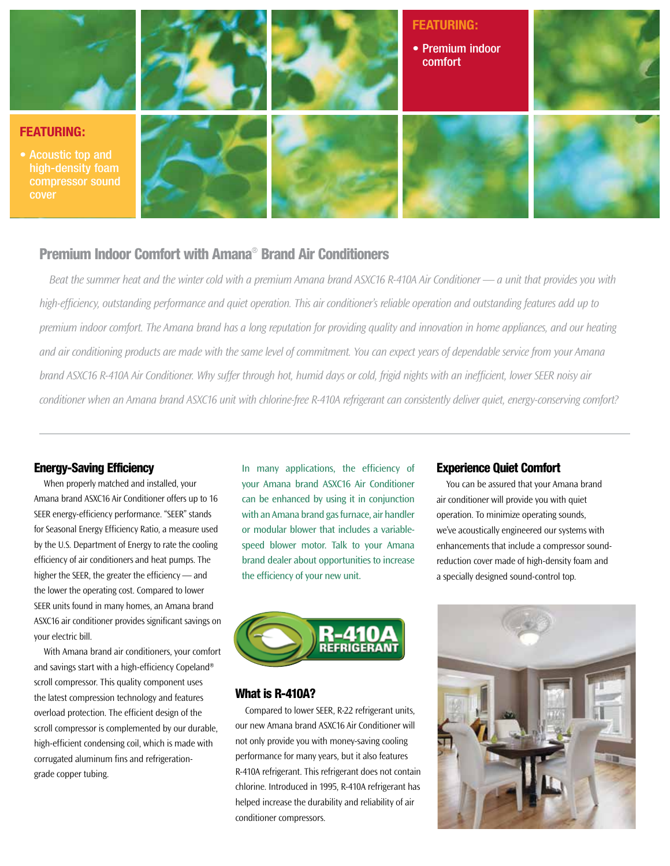

## Premium Indoor Comfort with Amana® Brand Air Conditioners

*Beat the summer heat and the winter cold with a premium Amana brand ASXC16 R-410A Air Conditioner — a unit that provides you with high-efficiency, outstanding performance and quiet operation. This air conditioner's reliable operation and outstanding features add up to premium indoor comfort. The Amana brand has a long reputation for providing quality and innovation in home appliances, and our heating and air conditioning products are made with the same level of commitment. You can expect years of dependable service from your Amana brand ASXC16 R-410A Air Conditioner. Why suffer through hot, humid days or cold, frigid nights with an inefficient, lower SEER noisy air conditioner when an Amana brand ASXC16 unit with chlorine-free R-410A refrigerant can consistently deliver quiet, energy-conserving comfort?*

#### Energy-Saving Efficiency

When properly matched and installed, your Amana brand ASXC16 Air Conditioner offers up to 16 SEER energy-efficiency performance. "SEER" stands for Seasonal Energy Efficiency Ratio, a measure used by the U.S. Department of Energy to rate the cooling efficiency of air conditioners and heat pumps. The higher the SEER, the greater the efficiency — and the lower the operating cost. Compared to lower SEER units found in many homes, an Amana brand ASXC16 air conditioner provides significant savings on your electric bill.

With Amana brand air conditioners, your comfort and savings start with a high-efficiency Copeland® scroll compressor. This quality component uses the latest compression technology and features overload protection. The efficient design of the scroll compressor is complemented by our durable, high-efficient condensing coil, which is made with corrugated aluminum fins and refrigerationgrade copper tubing.

In many applications, the efficiency of your Amana brand ASXC16 Air Conditioner can be enhanced by using it in conjunction with an Amana brand gas furnace, air handler or modular blower that includes a variablespeed blower motor. Talk to your Amana brand dealer about opportunities to increase the efficiency of your new unit.



#### What is R-410A?

Compared to lower SEER, R-22 refrigerant units, our new Amana brand ASXC16 Air Conditioner will not only provide you with money-saving cooling performance for many years, but it also features R-410A refrigerant. This refrigerant does not contain chlorine. Introduced in 1995, R-410A refrigerant has helped increase the durability and reliability of air conditioner compressors.

#### Experience Quiet Comfort

You can be assured that your Amana brand air conditioner will provide you with quiet operation. To minimize operating sounds, we've acoustically engineered our systems with enhancements that include a compressor soundreduction cover made of high-density foam and a specially designed sound-control top.

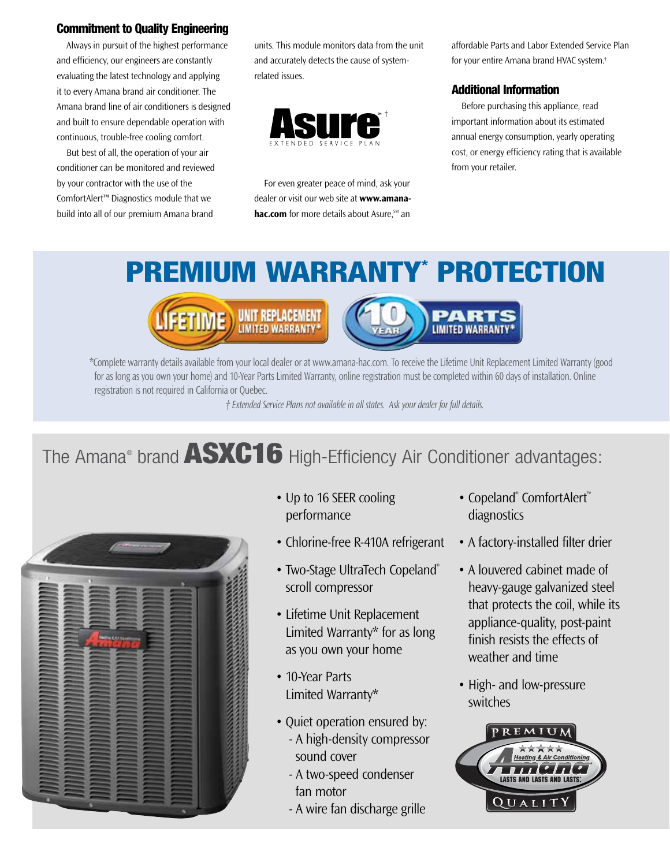## Commitment to Quality Engineering

Always in pursuit of the highest performance and efficiency, our engineers are constantly evaluating the latest technology and applying it to every Amana brand air conditioner. The Amana brand line of air conditioners is designed and built to ensure dependable operation with continuous, trouble-free cooling comfort.

But best of all, the operation of your air conditioner can be monitored and reviewed by your contractor with the use of the ComfortAlert™ Diagnostics module that we build into all of our premium Amana brand

units. This module monitors data from the unit and accurately detects the cause of systemrelated issues.



For even greater peace of mind, ask your dealer or visit our web site at **www.amanahac.com** for more details about Asure.<sup>SM</sup> an

affordable Parts and Labor Extended Service Plan for your entire Amana brand HVAC system.†

### Additional Information

Before purchasing this appliance, read important information about its estimated annual energy consumption, yearly operating cost, or energy efficiency rating that is available from your retailer.

# PREMIUM WARRANTY\* PROTECTION





\*Complete warranty details available from your local dealer or at www.amana-hac.com. To receive the Lifetime Unit Replacement Limited Warranty (good for as long as you own your home) and 10-Year Parts Limited Warranty, online registration must be completed within 60 days of installation. Online registration is not required in California or Quebec.

*† Extended Service Plans not available in all states. Ask your dealer for full details.*

# The Amana® brand **ASXC16** High-Efficiency Air Conditioner advantages:



- Up to 16 SEER cooling performance
- Chlorine-free R-410A refrigerant
- Two-Stage UltraTech Copeland® scroll compressor
- Lifetime Unit Replacement Limited Warranty\* for as long as you own your home
- 10-Year Parts Limited Warranty\*
- Quiet operation ensured by: - A high-density compressor sound cover
	- A two-speed condenser fan motor
	- A wire fan discharge grille
- Copeland<sup>®</sup> ComfortAlert™ diagnostics
- A factory-installed filter drier
- A louvered cabinet made of heavy-gauge galvanized steel that protects the coil, while its appliance-quality, post-paint finish resists the effects of weather and time
- High- and low-pressure switches